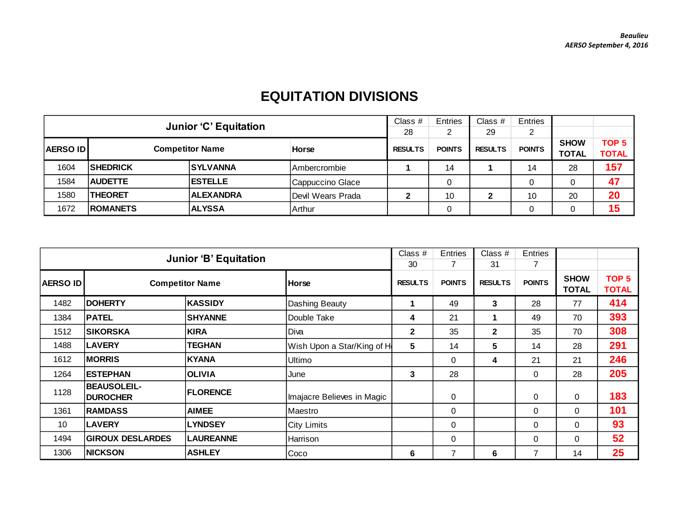## **EQUITATION DIVISIONS**

|                                           |                 | <b>Junior 'C' Equitation</b> |                   | Class #       | Entries        | Class $#$     | Entries     |                  |              |
|-------------------------------------------|-----------------|------------------------------|-------------------|---------------|----------------|---------------|-------------|------------------|--------------|
|                                           |                 |                              |                   | 28            |                | 29            | 2           |                  |              |
| <b>Competitor Name</b><br><b>AERSO ID</b> |                 |                              | <b>RESULTS</b>    | <b>POINTS</b> | <b>RESULTS</b> | <b>POINTS</b> | <b>SHOW</b> | TOP <sub>5</sub> |              |
|                                           |                 |                              | <b>Horse</b>      |               |                |               |             | <b>TOTAL</b>     | <b>TOTAL</b> |
| 1604                                      | <b>SHEDRICK</b> | <b>ISYLVANNA</b>             | IAmbercrombie     |               | 14             |               | 14          | 28               | 157          |
| 1584                                      | <b>AUDETTE</b>  | <b>IESTELLE</b>              | Cappuccino Glace  |               |                |               |             |                  | 47           |
| 1580                                      | <b>THEORET</b>  | <b>ALEXANDRA</b>             | Devil Wears Prada | ◠             | 10             | 2             | 10          | 20               | 20           |
| 1672                                      | <b>ROMANETS</b> | <b>ALYSSA</b>                | Arthur            |               | 0              |               |             |                  | 15           |

|          | <b>Junior 'B' Equitation</b>          |                  | Class $#$<br>30            | Entries<br>7   | Class #<br>31 | Entries        |               |                             |                                  |
|----------|---------------------------------------|------------------|----------------------------|----------------|---------------|----------------|---------------|-----------------------------|----------------------------------|
| AERSO ID | <b>Competitor Name</b>                |                  | <b>Horse</b>               | <b>RESULTS</b> | <b>POINTS</b> | <b>RESULTS</b> | <b>POINTS</b> | <b>SHOW</b><br><b>TOTAL</b> | TOP <sub>5</sub><br><b>TOTAL</b> |
| 1482     | <b>DOHERTY</b>                        | <b>KASSIDY</b>   | Dashing Beauty             |                | 49            | 3              | 28            | 77                          | 414                              |
| 1384     | <b>PATEL</b>                          | <b>SHYANNE</b>   | Double Take                | 4              | 21            | 1              | 49            | 70                          | 393                              |
| 1512     | <b>SIKORSKA</b>                       | <b>KIRA</b>      | Diva                       | $\mathbf{2}$   | 35            | $\overline{2}$ | 35            | 70                          | 308                              |
| 1488     | <b>LAVERY</b>                         | TEGHAN           | Wish Upon a Star/King of H | 5              | 14            | 5              | 14            | 28                          | 291                              |
| 1612     | <b>MORRIS</b>                         | <b>KYANA</b>     | <b>Ultimo</b>              |                | $\Omega$      | 4              | 21            | 21                          | 246                              |
| 1264     | <b>ESTEPHAN</b>                       | <b>OLIVIA</b>    | June                       | 3              | 28            |                | 0             | 28                          | 205                              |
| 1128     | <b>BEAUSOLEIL-</b><br><b>DUROCHER</b> | <b>FLORENCE</b>  | Imajacre Believes in Magic |                | 0             |                | $\mathbf 0$   | $\Omega$                    | 183                              |
| 1361     | <b>RAMDASS</b>                        | <b>AIMEE</b>     | <b>Maestro</b>             |                | 0             |                | $\mathbf 0$   | $\Omega$                    | 101                              |
| 10       | <b>LAVERY</b>                         | <b>LYNDSEY</b>   | <b>City Limits</b>         |                | $\Omega$      |                | $\mathbf{0}$  | $\Omega$                    | 93                               |
| 1494     | <b>GIROUX DESLARDES</b>               | <b>LAUREANNE</b> | Harrison                   |                | 0             |                | $\mathbf{0}$  | $\Omega$                    | 52                               |
| 1306     | <b>NICKSON</b><br><b>ASHLEY</b>       |                  | Coco                       | 6              | 7             | 6              |               | 14                          | 25                               |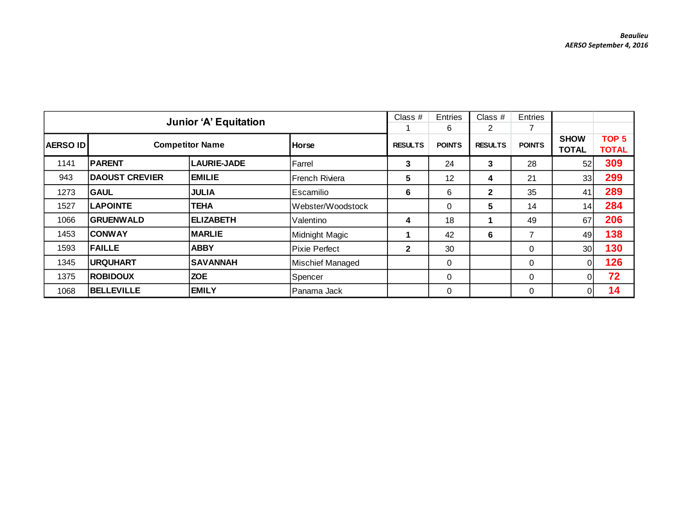|                 | <b>Junior 'A' Equitation</b>      |                    | Class $#$            | Entries        | Class $#$     | Entries        |               |                             |                                  |
|-----------------|-----------------------------------|--------------------|----------------------|----------------|---------------|----------------|---------------|-----------------------------|----------------------------------|
|                 |                                   |                    |                      |                | 6             | 2              |               |                             |                                  |
| <b>AERSO ID</b> | <b>Competitor Name</b>            |                    | <b>Horse</b>         | <b>RESULTS</b> | <b>POINTS</b> | <b>RESULTS</b> | <b>POINTS</b> | <b>SHOW</b><br><b>TOTAL</b> | TOP <sub>5</sub><br><b>TOTAL</b> |
| 1141            | <b>PARENT</b>                     | <b>LAURIE-JADE</b> | Farrel               | 3              | 24            | 3              | 28            | 52                          | 309                              |
| 943             | <b>DAOUST CREVIER</b>             | <b>EMILIE</b>      | French Riviera       | 5              | 12            | 4              | 21            | 33 <sup>1</sup>             | 299                              |
| 1273            | <b>GAUL</b>                       | <b>JULIA</b>       | l Escamilio          | 6              | 6             | $\mathbf{2}$   | 35            | 41                          | 289                              |
| 1527            | <b>LAPOINTE</b>                   | <b>TEHA</b>        | Webster/Woodstock    |                | $\Omega$      | 5              | 14            | 14                          | 284                              |
| 1066            | <b>GRUENWALD</b>                  | <b>ELIZABETH</b>   | Valentino            | 4              | 18            | 1              | 49            | 67                          | 206                              |
| 1453            | <b>CONWAY</b>                     | <b>MARLIE</b>      | Midnight Magic       |                | 42            | 6              |               | 49                          | 138                              |
| 1593            | <b>FAILLE</b>                     | <b>ABBY</b>        | <b>Pixie Perfect</b> | $\mathbf{2}$   | 30            |                | $\mathbf 0$   | 30 <sup>°</sup>             | 130                              |
| 1345            | <b>URQUHART</b>                   | <b>SAVANNAH</b>    |                      |                | $\Omega$      |                | $\Omega$      | 0I                          | 126                              |
| 1375            | <b>ZOE</b><br><b>ROBIDOUX</b>     |                    | Spencer              |                | 0             |                | $\mathbf 0$   | 0I                          | 72                               |
| 1068            | <b>BELLEVILLE</b><br><b>EMILY</b> |                    | IPanama Jack         |                | $\Omega$      |                | 0             | 01                          | 14                               |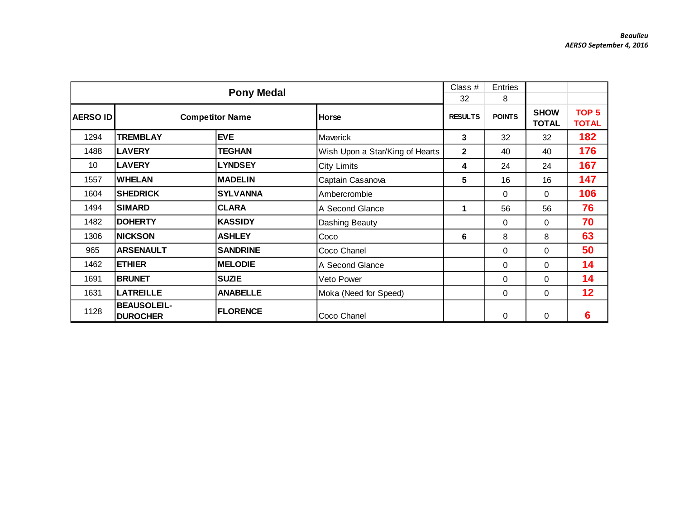|          |                                                          | <b>Pony Medal</b>      |                                 | Class #<br>32  | <b>Entries</b><br>8 |                             |                                  |
|----------|----------------------------------------------------------|------------------------|---------------------------------|----------------|---------------------|-----------------------------|----------------------------------|
| AERSO ID |                                                          | <b>Competitor Name</b> | <b>Horse</b>                    | <b>RESULTS</b> | <b>POINTS</b>       | <b>SHOW</b><br><b>TOTAL</b> | TOP <sub>5</sub><br><b>TOTAL</b> |
| 1294     | <b>TREMBLAY</b>                                          | <b>EVE</b>             | Maverick                        | 3              | 32                  | 32                          | 182                              |
| 1488     | <b>LAVERY</b>                                            | <b>TEGHAN</b>          | Wish Upon a Star/King of Hearts | $\mathbf{2}$   | 40                  | 40                          | 176                              |
| 10       | <b>LAVERY</b>                                            | <b>LYNDSEY</b>         | City Limits                     | 4              | 24                  | 24                          | 167                              |
| 1557     | <b>WHELAN</b>                                            | <b>MADELIN</b>         | Captain Casanova                | 5              | 16                  | 16                          | 147                              |
| 1604     | <b>SHEDRICK</b><br><b>SYLVANNA</b>                       |                        | Ambercrombie                    |                | $\Omega$            | 0                           | 106                              |
| 1494     | <b>SIMARD</b><br><b>CLARA</b>                            |                        | A Second Glance                 | 1              | 56                  | 56                          | 76                               |
| 1482     | <b>DOHERTY</b>                                           | <b>KASSIDY</b>         | Dashing Beauty                  |                | $\Omega$            | 0                           | 70                               |
| 1306     | <b>NICKSON</b>                                           | <b>ASHLEY</b>          | Coco                            | 6              | 8                   | 8                           | 63                               |
| 965      | <b>ARSENAULT</b>                                         | <b>SANDRINE</b>        | Coco Chanel                     |                | 0                   | 0                           | 50                               |
| 1462     | <b>ETHIER</b>                                            | <b>MELODIE</b>         | A Second Glance                 |                | $\Omega$            | 0                           | 14                               |
| 1691     | <b>BRUNET</b><br><b>SUZIE</b>                            |                        | Veto Power                      |                | 0                   | 0                           | 14                               |
| 1631     | <b>LATREILLE</b><br><b>ANABELLE</b>                      |                        | Moka (Need for Speed)           |                | 0                   | 0                           | 12                               |
| 1128     | <b>BEAUSOLEIL-</b><br><b>FLORENCE</b><br><b>DUROCHER</b> |                        | Coco Chanel                     |                | 0                   | 0                           | 6                                |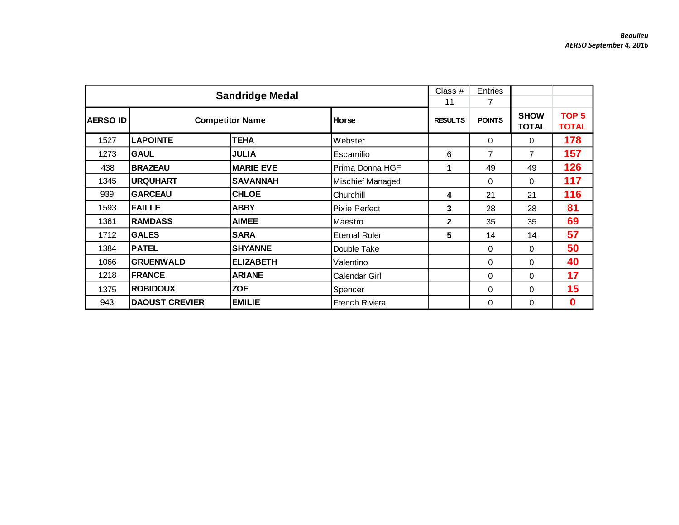|                 |                                | <b>Sandridge Medal</b> |                       | Class #<br>11  | Entries<br>7   |                             |                                  |
|-----------------|--------------------------------|------------------------|-----------------------|----------------|----------------|-----------------------------|----------------------------------|
| <b>AERSO ID</b> |                                | <b>Competitor Name</b> | Horse                 | <b>RESULTS</b> | <b>POINTS</b>  | <b>SHOW</b><br><b>TOTAL</b> | TOP <sub>5</sub><br><b>TOTAL</b> |
| 1527            | <b>LAPOINTE</b>                | TEHA                   | Webster               |                | 0              | 0                           | 178                              |
| 1273            | <b>GAUL</b>                    | JULIA                  | Escamilio             | 6              | $\overline{7}$ | $\overline{7}$              | 157                              |
| 438             | <b>BRAZEAU</b>                 | <b>MARIE EVE</b>       | Prima Donna HGF       | 1              | 49             | 49                          | 126                              |
| 1345            | <b>URQUHART</b>                | <b>SAVANNAH</b>        | Mischief Managed      |                | $\Omega$       | 0                           | 117                              |
| 939             | <b>GARCEAU</b><br><b>CHLOE</b> |                        | Churchill             | 4              | 21             | 21                          | 116                              |
| 1593            | <b>FAILLE</b>                  | <b>ABBY</b>            | <b>Pixie Perfect</b>  | 3              | 28             | 28                          | 81                               |
| 1361            | <b>RAMDASS</b>                 | <b>AIMEE</b>           | Maestro               | $\mathbf{2}$   | 35             | 35                          | 69                               |
| 1712            | <b>GALES</b>                   | <b>SARA</b>            | <b>Eternal Ruler</b>  | 5              | 14             | 14                          | 57                               |
| 1384            | <b>PATEL</b>                   | <b>SHYANNE</b>         | Double Take           |                | 0              | 0                           | 50                               |
| 1066            | <b>GRUENWALD</b>               | <b>ELIZABETH</b>       | Valentino             |                | $\Omega$       | 0                           | 40                               |
| 1218            | <b>FRANCE</b><br><b>ARIANE</b> |                        | Calendar Girl         |                | 0              | $\Omega$                    | 17                               |
| 1375            | <b>ROBIDOUX</b><br><b>ZOE</b>  |                        | Spencer               |                | $\Omega$       | $\Omega$                    | 15                               |
| 943             | <b>DAOUST CREVIER</b>          | <b>EMILIE</b>          | <b>French Riviera</b> |                | 0              | 0                           | $\bf{0}$                         |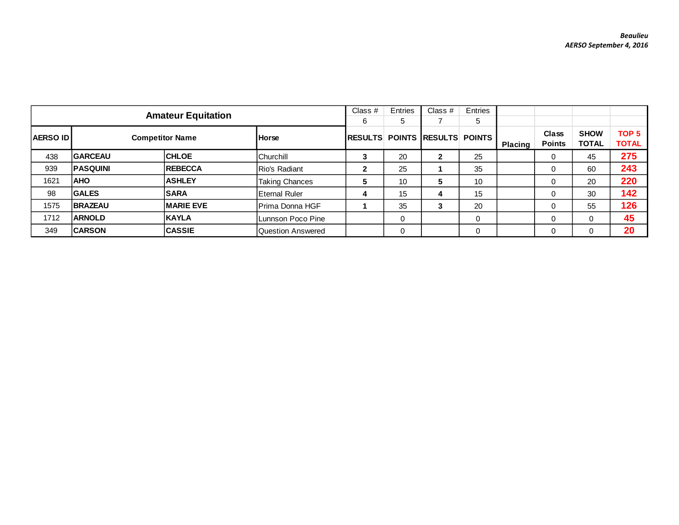|                 |                           |                  | Class $#$         | Entries         | Class # | Entries               |               |                |                        |                             |                                  |
|-----------------|---------------------------|------------------|-------------------|-----------------|---------|-----------------------|---------------|----------------|------------------------|-----------------------------|----------------------------------|
|                 | <b>Amateur Equitation</b> |                  |                   |                 | 5       |                       | 5             |                |                        |                             |                                  |
| <b>AERSO ID</b> | <b>Competitor Name</b>    |                  | <b>Horse</b>      | <b>IRESULTS</b> |         | <b>POINTS RESULTS</b> | <b>POINTS</b> | <b>Placing</b> | Class<br><b>Points</b> | <b>SHOW</b><br><b>TOTAL</b> | TOP <sub>5</sub><br><b>TOTAL</b> |
| 438             | <b>GARCEAU</b>            | <b>CHLOE</b>     | <b>Churchill</b>  | 3               | 20      | 2                     | 25            |                | 0                      | 45                          | 275                              |
| 939             | <b>PASQUINI</b>           | <b>REBECCA</b>   | Rio's Radiant     | $\mathbf{2}$    | 25      |                       | 35            |                | 0                      | 60                          | 243                              |
| 1621            | <b>AHO</b>                | <b>ASHLEY</b>    | Taking Chances    | 5               | 10      | 5                     | 10            |                | O                      | 20                          | 220                              |
| 98              | <b>GALES</b>              | <b>SARA</b>      | Eternal Ruler     | 4               | 15      | 4                     | 15            |                | 0                      | 30                          | 142                              |
| 1575            | <b>BRAZEAU</b>            | <b>MARIE EVE</b> | IPrima Donna HGF  |                 | 35      | 3                     | 20            |                |                        | 55                          | 126                              |
| 1712            | <b>ARNOLD</b>             | <b>KAYLA</b>     | Lunnson Poco Pine |                 | 0       |                       | 0             |                |                        | 0                           | 45                               |
| 349             | <b>CARSON</b>             | <b>CASSIE</b>    | Question Answered |                 | 0       |                       | $\Omega$      |                |                        | 0                           | 20                               |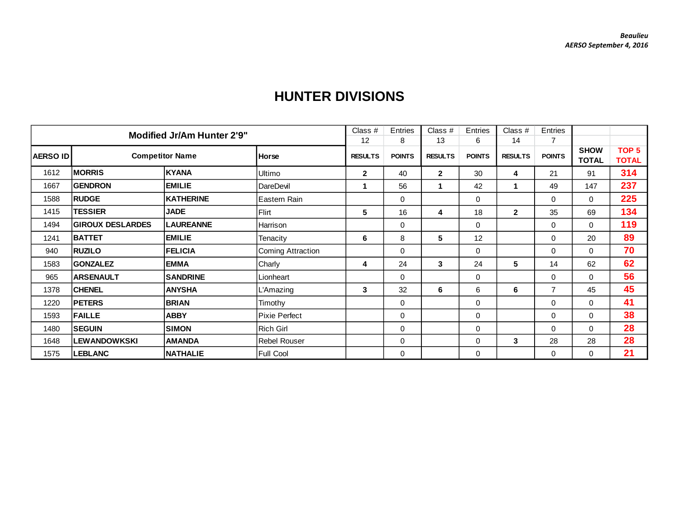|                 |                         |                                   | Class $#$                | Entries        | Class #       | Entries        | Class $#$     | Entries        |                |                             |                                  |
|-----------------|-------------------------|-----------------------------------|--------------------------|----------------|---------------|----------------|---------------|----------------|----------------|-----------------------------|----------------------------------|
|                 |                         | <b>Modified Jr/Am Hunter 2'9"</b> |                          | 12             | 8             | 13             | 6             | 14             | $\overline{7}$ |                             |                                  |
| <b>AERSO ID</b> |                         | <b>Competitor Name</b>            | Horse                    | <b>RESULTS</b> | <b>POINTS</b> | <b>RESULTS</b> | <b>POINTS</b> | <b>RESULTS</b> | <b>POINTS</b>  | <b>SHOW</b><br><b>TOTAL</b> | TOP <sub>5</sub><br><b>TOTAL</b> |
| 1612            | <b>MORRIS</b>           | KYANA                             | Ultimo                   | $\overline{2}$ | 40            | $\overline{2}$ | 30            | 4              | 21             | 91                          | 314                              |
| 1667            | <b>GENDRON</b>          | <b>EMILIE</b>                     | DareDevil                | 1              | 56            | 1              | 42            | 1              | 49             | 147                         | 237                              |
| 1588            | <b>RUDGE</b>            | KATHERINE                         | Eastern Rain             |                | $\mathbf 0$   |                | $\mathbf 0$   |                | $\Omega$       | 0                           | 225                              |
| 1415            | <b>TESSIER</b>          | <b>JADE</b>                       | Flirt                    | 5              | 16            | 4              | 18            | $\overline{2}$ | 35             | 69                          | 134                              |
| 1494            | <b>GIROUX DESLARDES</b> | <b>LAUREANNE</b>                  | Harrison                 |                | $\mathbf 0$   |                | $\mathbf 0$   |                | 0              | 0                           | 119                              |
| 1241            | <b>BATTET</b>           | <b>EMILIE</b>                     | Tenacity                 | 6              | 8             | 5              | 12            |                | 0              | 20                          | 89                               |
| 940             | <b>RUZILO</b>           | <b>FELICIA</b>                    | <b>Coming Attraction</b> |                | $\mathbf 0$   |                | $\mathbf 0$   |                | 0              | 0                           | 70                               |
| 1583            | <b>GONZALEZ</b>         | <b>EMMA</b>                       | Charly                   | 4              | 24            | 3              | 24            | 5              | 14             | 62                          | 62                               |
| 965             | <b>ARSENAULT</b>        | <b>SANDRINE</b>                   | Lionheart                |                | $\Omega$      |                | $\mathbf 0$   |                | 0              | 0                           | 56                               |
| 1378            | <b>CHENEL</b>           | <b>ANYSHA</b>                     | L'Amazing                | 3              | 32            | 6              | 6             | 6              | $\overline{7}$ | 45                          | 45                               |
| 1220            | <b>PETERS</b>           | <b>BRIAN</b>                      | Timothy                  |                | $\mathbf 0$   |                | 0             |                | 0              | 0                           | 41                               |
| 1593            | <b>FAILLE</b>           | <b>ABBY</b>                       | Pixie Perfect            |                | $\mathbf 0$   |                | 0             |                | 0              | 0                           | 38                               |
| 1480            | <b>SEGUIN</b>           | <b>SIMON</b>                      | Rich Girl                |                | $\mathbf 0$   |                | $\mathbf 0$   |                | 0              | 0                           | 28                               |
| 1648            | <b>LEWANDOWKSKI</b>     | <b>AMANDA</b>                     | <b>Rebel Rouser</b>      |                | $\mathbf 0$   |                | 0             | $\mathbf{3}$   | 28             | 28                          | 28                               |
| 1575            | <b>LEBLANC</b>          | <b>NATHALIE</b>                   | Full Cool                |                | $\mathbf 0$   |                | 0             |                | 0              | 0                           | 21                               |

## **HUNTER DIVISIONS**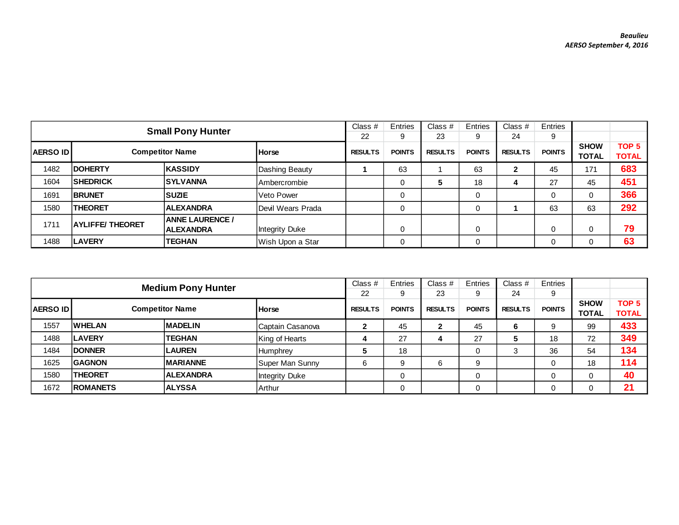|                                           |                        |                                            | Class $#$             | Entries       | Class $#$      | Entries       | Class $#$      | Entries       |                             |                                  |     |
|-------------------------------------------|------------------------|--------------------------------------------|-----------------------|---------------|----------------|---------------|----------------|---------------|-----------------------------|----------------------------------|-----|
|                                           |                        | <b>Small Pony Hunter</b>                   |                       | 22            | 9              | 23            | 9              | 24            | 9                           |                                  |     |
| <b>Competitor Name</b><br><b>AERSO ID</b> |                        | <b>Horse</b>                               | <b>RESULTS</b>        | <b>POINTS</b> | <b>RESULTS</b> | <b>POINTS</b> | <b>RESULTS</b> | <b>POINTS</b> | <b>SHOW</b><br><b>TOTAL</b> | TOP <sub>5</sub><br><b>TOTAL</b> |     |
| 1482                                      | <b>IDOHERTY</b>        | KASSIDY                                    | Dashing Beauty        |               | 63             |               | 63             |               | 45                          | 171                              | 683 |
| 1604                                      | <b>SHEDRICK</b>        | <b>ISYLVANNA</b>                           | Ambercrombie          |               |                | 5             | 18             | 4             | 27                          | 45                               | 451 |
| 1691                                      | <b>IBRUNET</b>         | <b>SUZIE</b>                               | Veto Power            |               | $\Omega$       |               | 0              |               | $\Omega$                    | 0                                | 366 |
| 1580                                      | <b>THEORET</b>         | <b>ALEXANDRA</b>                           | Devil Wears Prada     |               |                |               | 0              |               | 63                          | 63                               | 292 |
| 1711                                      | <b>AYLIFFE/THEORET</b> | <b>ANNE LAURENCE /</b><br><b>ALEXANDRA</b> | <b>Integrity Duke</b> |               |                |               | 0              |               |                             | 0                                | 79  |
| 1488                                      | <b>LAVERY</b>          | <b>TEGHAN</b>                              | Wish Upon a Star      |               | 0              |               | 0              |               |                             | 0                                | 63  |

|                                            |                        |                           | Class $#$        | Entries        | Class #       | Entries        | Class $#$     | Entries        |               |                             |                                  |
|--------------------------------------------|------------------------|---------------------------|------------------|----------------|---------------|----------------|---------------|----------------|---------------|-----------------------------|----------------------------------|
|                                            |                        | <b>Medium Pony Hunter</b> |                  | 22             | 9             | 23             | 9             | 24             | 9             |                             |                                  |
| <b>AERSO ID</b>                            | <b>Competitor Name</b> |                           | <b>Horse</b>     | <b>RESULTS</b> | <b>POINTS</b> | <b>RESULTS</b> | <b>POINTS</b> | <b>RESULTS</b> | <b>POINTS</b> | <b>SHOW</b><br><b>TOTAL</b> | TOP <sub>5</sub><br><b>TOTAL</b> |
| 1557                                       | <b>WHELAN</b>          | <b>MADELIN</b>            | Captain Casanova | $\mathbf{2}$   | 45            | 2              | 45            | 6              |               | 99                          | 433                              |
| 1488                                       | <b>LAVERY</b>          | <b>TEGHAN</b>             | King of Hearts   | 4              | 27            | 4              | 27            | 5              | 18            | 72                          | 349                              |
| 1484                                       | <b>DONNER</b>          | <b>LAUREN</b>             | Humphrey         | 5              | 18            |                | 0             | 3              | 36            | 54                          | 134                              |
| 1625                                       | <b>GAGNON</b>          | <b>MARIANNE</b>           | Super Man Sunny  | 6              | 9             | 6              | 9             |                |               | 18                          | 114                              |
| 1580<br><b>THEORET</b><br><b>ALEXANDRA</b> |                        | <b>Integrity Duke</b>     |                  | 0              |               | 0              |               |                |               | 40                          |                                  |
| 1672                                       | <b>ROMANETS</b>        | <b>ALYSSA</b>             | Arthur           |                |               |                |               |                |               |                             | 21                               |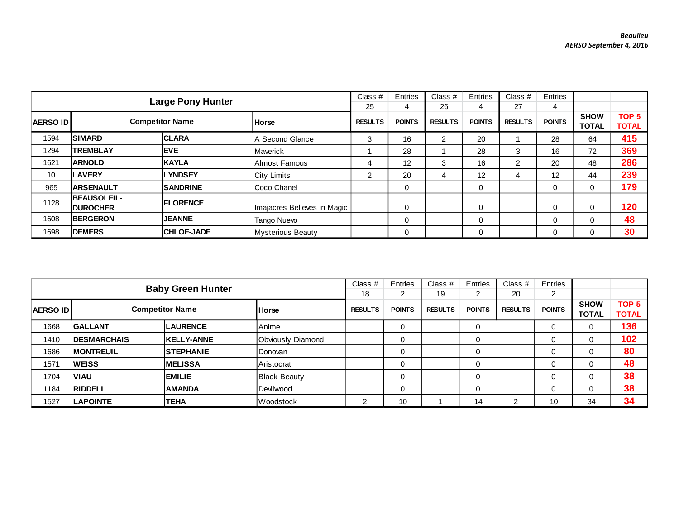|                                            | <b>Large Pony Hunter</b>               |                   | Class $#$<br>25             | Entries<br>4  | Class $#$<br>26   | Entries<br>4  | Class $#$<br>27 | Entries<br>4  |                             |                                  |     |
|--------------------------------------------|----------------------------------------|-------------------|-----------------------------|---------------|-------------------|---------------|-----------------|---------------|-----------------------------|----------------------------------|-----|
| <b>Competitor Name</b><br><b>AERSO IDI</b> |                                        | <b>Horse</b>      | <b>RESULTS</b>              | <b>POINTS</b> | <b>RESULTS</b>    | <b>POINTS</b> | <b>RESULTS</b>  | <b>POINTS</b> | <b>SHOW</b><br><b>TOTAL</b> | TOP <sub>5</sub><br><b>TOTAL</b> |     |
| 1594                                       | <b>SIMARD</b>                          | <b>CLARA</b>      | A Second Glance             | 3             | 16                | 2             | 20              |               | 28                          | 64                               | 415 |
| 1294                                       | <b>TREMBLAY</b>                        | <b>IEVE</b>       | Maverick                    |               | 28                |               | 28              | 3             | 16                          | 72                               | 369 |
| 1621                                       | <b>ARNOLD</b>                          | <b>KAYLA</b>      | Almost Famous               | 4             | $12 \overline{ }$ | 3             | 16              | 2             | 20                          | 48                               | 286 |
| 10                                         | <b>LAVERY</b>                          | <b>LYNDSEY</b>    | <b>City Limits</b>          | 2             | 20                | 4             | 12              |               | $12 \overline{ }$           | 44                               | 239 |
| 965                                        | <b>ARSENAULT</b>                       | <b>SANDRINE</b>   | Coco Chanel                 |               | 0                 |               | 0               |               | 0                           | 0                                | 179 |
| 1128                                       | <b>BEAUSOLEIL-</b><br><b>IDUROCHER</b> | <b>IFLORENCE</b>  | Imajacres Believes in Magic |               | 0                 |               | 0               |               | $\Omega$                    | 0                                | 120 |
| 1608                                       | <b>IBERGERON</b>                       | <b>JEANNE</b>     | Tango Nuevo                 |               | $\mathbf 0$       |               | $\mathbf 0$     |               | $\mathbf 0$                 | 0                                | 48  |
| 1698                                       | <b>DEMERS</b>                          | <b>CHLOE-JADE</b> | Mysterious Beauty           |               | 0                 |               | 0               |               | 0                           | 0                                | 30  |

|                                                           |                     |                          | Class $#$           | Entries       | Class #        | Entries       | Class $#$      | Entries       |             |                  |              |
|-----------------------------------------------------------|---------------------|--------------------------|---------------------|---------------|----------------|---------------|----------------|---------------|-------------|------------------|--------------|
|                                                           |                     | <b>Baby Green Hunter</b> |                     | 18            | ົ              | 19            | 2              | 20            | 2           |                  |              |
| <b>Competitor Name</b><br><b>AERSO ID</b><br><b>Horse</b> |                     |                          | <b>RESULTS</b>      | <b>POINTS</b> | <b>RESULTS</b> | <b>POINTS</b> | <b>RESULTS</b> | <b>POINTS</b> | <b>SHOW</b> | TOP <sub>5</sub> |              |
|                                                           |                     |                          |                     |               |                |               |                |               |             | <b>TOTAL</b>     | <b>TOTAL</b> |
| 1668                                                      | <b>GALLANT</b>      | <b>LAURENCE</b>          | Anime               |               | 0              |               | 0              |               | 0           | 0                | 136          |
| 1410                                                      | <b>IDESMARCHAIS</b> | <b>KELLY-ANNE</b>        | Obviously Diamond   |               | 0              |               | 0              |               | 0           |                  | 102          |
| 1686                                                      | <b>MONTREUIL</b>    | <b>STEPHANIE</b>         | <b>IDonovan</b>     |               | 0              |               | 0              |               | 0           | 0                | 80           |
| 1571                                                      | <b>WEISS</b>        | IMELISSA                 | Aristocrat          |               | 0              |               | $\Omega$       |               | 0           |                  | 48           |
| 1704                                                      | <b>VIAU</b>         | <b>EMILIE</b>            | <b>Black Beauty</b> |               | 0              |               | 0              |               | 0           | 0                | 38           |
| 1184                                                      | <b>RIDDELL</b>      | <b>AMANDA</b>            | Devilwood           |               | 0              |               | $\Omega$       |               | $\Omega$    |                  | 38           |
| 1527                                                      | <b>ILAPOINTE</b>    | TEHA                     | Woodstock           | C             | 10             |               | 14             | ີ             | 10          | 34               | 34           |